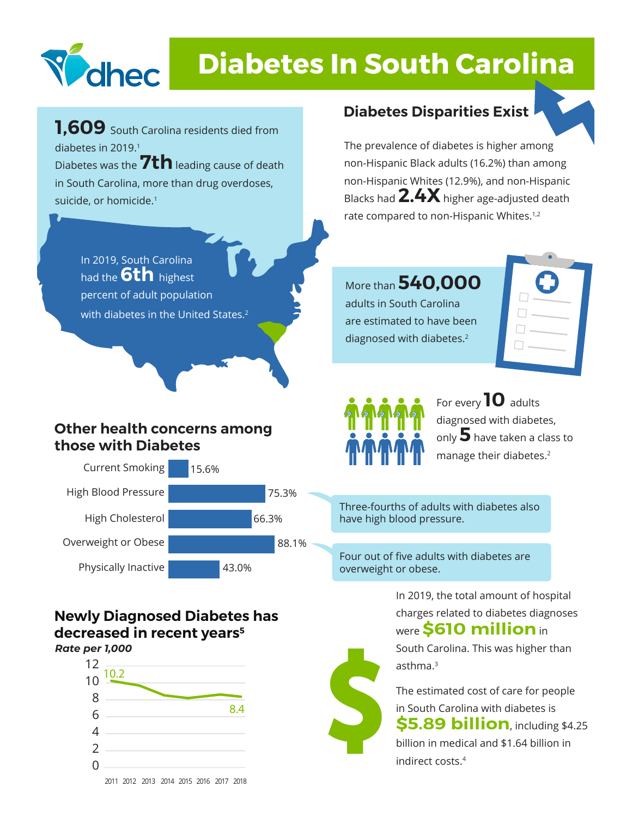

# **Diabetes In South Carolina**

**1,609** South Carolina residents died from diabetes in 2019.1 Diabetes was the **7th** leading cause of death in South Carolina, more than drug overdoses, suicide, or homicide.<sup>1</sup>

> In 2019, South Carolina had the **6th** highest percent of adult population with diabetes in the United States.<sup>2</sup>

#### **Other health concerns among those with Diabetes**



#### **Newly Diagnosed Diabetes has decreased in recent years5** *Rate per 1,000*



## **Diabetes Disparities Exist**



The prevalence of diabetes is higher among non-Hispanic Black adults (16.2%) than among non-Hispanic Whites (12.9%), and non-Hispanic Blacks had **2.4X**higher age-adjusted death rate compared to non-Hispanic Whites.<sup>1,2</sup>

More than **540,000** adults in South Carolina are estimated to have been diagnosed with diabetes.2





#### For every **10** adults diagnosed with diabetes, only **5** have taken a class to manage their diabetes.<sup>2</sup>

Three-fourths of adults with diabetes also have high blood pressure.

Four out of five adults with diabetes are overweight or obese.

> In 2019, the total amount of hospital charges related to diabetes diagnoses were **\$610 million** in

South Carolina. This was higher than asthma.3

The estimated cost of care for people in South Carolina with diabetes is **\$5.89 billion**, including \$4.25 billion in medical and \$1.64 billion in indirect costs. South Carolina<br>
asthma.<sup>3</sup><br>
The estimated<br>
in South Carolina<br>
55.89 bi<br>
billion in media<br>
indirect costs <sup>4</sup>